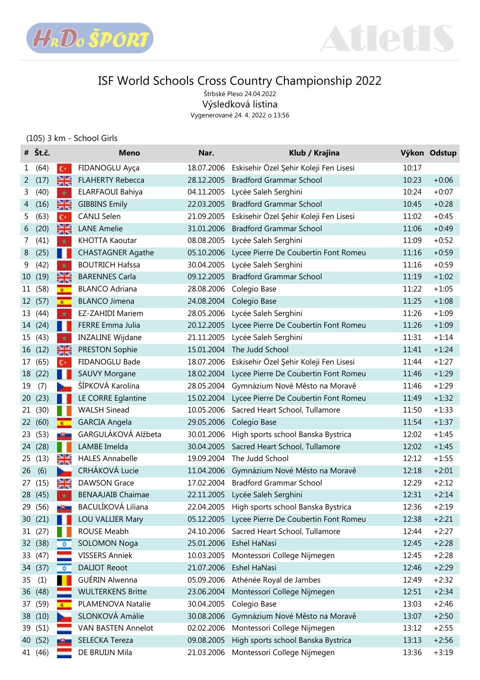



Štrbské Pleso 24.04.2022 Výsledková listina

Vygenerované 24. 4. 2022 o 13:56

### (105) 3 km - School Girls

|    | $# \nightharpoonup$ Št.č. |                         | <b>Meno</b>              | Nar.       | Klub / Krajina                                |       | Výkon Odstup |
|----|---------------------------|-------------------------|--------------------------|------------|-----------------------------------------------|-------|--------------|
| 1  | (64)                      | $C^*$                   | FIDANOGLU Ayça           | 18.07.2006 | Eskisehir Özel Şehir Koleji Fen Lisesi        | 10:17 |              |
| 2  | (17)                      | ₩                       | <b>FLAHERTY Rebecca</b>  | 28.12.2005 | <b>Bradford Grammar School</b>                | 10:23 | $+0:06$      |
| 3  | (40)                      | $\star$                 | ELARFAOUI Bahiya         | 04.11.2005 | Lycée Saleh Serghini                          | 10:24 | $+0:07$      |
| 4  | (16)                      | Ж                       | <b>GIBBINS Emily</b>     | 22.03.2005 | <b>Bradford Grammar School</b>                | 10:45 | $+0:28$      |
| 5. | (63)                      | $C^*$                   | <b>CANLI Selen</b>       | 21.09.2005 | Eskisehir Özel Şehir Koleji Fen Lisesi        | 11:02 | $+0:45$      |
| 6  | (20)                      | ¥≼                      | <b>LANE Amelie</b>       | 31.01.2006 | <b>Bradford Grammar School</b>                | 11:06 | $+0:49$      |
| 7  | (41)                      | $\star$                 | KHOTTA Kaoutar           | 08.08.2005 | Lycée Saleh Serghini                          | 11:09 | $+0:52$      |
| 8  | (25)                      | п                       | <b>CHASTAGNER Agathe</b> | 05.10.2006 | Lycee Pierre De Coubertin Font Romeu          | 11:16 | $+0:59$      |
| 9  | (42)                      | $\star$                 | <b>BOUTRICH Hafssa</b>   | 30.04.2005 | Lycée Saleh Serghini                          | 11:16 | $+0:59$      |
| 10 | (19)                      | ¥≼                      | <b>BARENNES Carla</b>    | 09.12.2005 | <b>Bradford Grammar School</b>                | 11:19 | $+1:02$      |
|    | 11 (58)                   | $\bullet$               | <b>BLANCO Adriana</b>    | 28.08.2006 | Colegio Base                                  | 11:22 | $+1:05$      |
|    | 12 (57)                   | $\bullet$               | <b>BLANCO Jimena</b>     | 24.08.2004 | Colegio Base                                  | 11:25 | $+1:08$      |
|    | 13 (44)                   | $\star$                 | <b>EZ-ZAHIDI Mariem</b>  | 28.05.2006 | Lycée Saleh Serghini                          | 11:26 | $+1:09$      |
|    | 14 (24)                   | ш                       | FERRE Emma Julia         | 20.12.2005 | Lycee Pierre De Coubertin Font Romeu          | 11:26 | $+1:09$      |
|    | 15 (43)                   | $\star$                 | <b>INZALINE Wijdane</b>  | 21.11.2005 | Lycée Saleh Serghini                          | 11:31 | $+1:14$      |
|    | 16 (12)                   | $\frac{\sum x}{\sum x}$ | PRESTON Sophie           | 15.01.2004 | The Judd School                               | 11:41 | $+1:24$      |
| 17 | (65)                      | $C^*$                   | FIDANOGLU Bade           | 18.07.2006 | Eskisehir Özel Şehir Koleji Fen Lisesi        | 11:44 | $+1:27$      |
|    | 18 (22)                   |                         | <b>SAUVY Morgane</b>     | 18.02.2004 | Lycee Pierre De Coubertin Font Romeu          | 11:46 | $+1:29$      |
| 19 | (7)                       |                         | ŠÍPKOVÁ Karolína         | 28.05.2004 | Gymnázium Nové Město na Moravě                | 11:46 | $+1:29$      |
| 20 | (23)                      |                         | LE CORRE Eglantine       | 15.02.2004 | Lycee Pierre De Coubertin Font Romeu          | 11:49 | $+1:32$      |
|    | 21 (30)                   |                         | <b>WALSH Sinead</b>      | 10.05.2006 | Sacred Heart School, Tullamore                | 11:50 | $+1:33$      |
|    | 22 (60)                   | $\bullet$               | <b>GARCIA Angela</b>     | 29.05.2006 | Colegio Base                                  | 11:54 | $+1:37$      |
|    | 23 (53)                   | -9-                     | GARGULÁKOVÁ Alžbeta      | 30.01.2006 | High sports school Banska Bystrica            | 12:02 | $+1:45$      |
|    | 24 (28)                   |                         | LAMBE Imelda             | 30.04.2005 | Sacred Heart School, Tullamore                | 12:02 | $+1:45$      |
| 25 | (13)                      | ≱≼                      | <b>HALES Annabelle</b>   | 19.09.2004 | The Judd School                               | 12:12 | $+1:55$      |
| 26 | (6)                       | ъ.                      | CRHÁKOVÁ Lucie           | 11.04.2006 | Gymnázium Nové Město na Moravě                | 12:18 | $+2:01$      |
| 27 | (15)                      | NK<br>215               | <b>DAWSON Grace</b>      | 17.02.2004 | <b>Bradford Grammar School</b>                | 12:29 | $+2:12$      |
|    | 28 (45)                   | $\star$                 | <b>BENAAJAIB Chaimae</b> | 22.11.2005 | Lycée Saleh Serghini                          | 12:31 | $+2:14$      |
|    | 29 (56)                   |                         | BACULÍKOVÁ Liliana       |            | 22.04.2005 High sports school Banska Bystrica | 12:36 | $+2:19$      |
|    | 30 (21)                   |                         | <b>LOU VALLIER Mary</b>  | 05.12.2005 | Lycee Pierre De Coubertin Font Romeu          | 12:38 | $+2:21$      |
|    | 31 (27)                   |                         | ROUSE Meabh              | 24.10.2006 | Sacred Heart School, Tullamore                | 12:44 | $+2:27$      |
|    | 32 (38)                   | *                       | <b>SOLOMON Noga</b>      | 25.01.2006 | Eshel HaNasi                                  | 12:45 | $+2:28$      |
|    | 33 (47)                   |                         | <b>VISSERS Anniek</b>    | 10.03.2005 | Montessori College Nijmegen                   | 12:45 | $+2:28$      |
|    | 34 (37)                   |                         | <b>DALIOT Reoot</b>      | 21.07.2006 | Eshel HaNasi                                  | 12:46 | $+2:29$      |
| 35 | (1)                       |                         | GUÉRIN Alwenna           | 05.09.2006 | Athénée Royal de Jambes                       | 12:49 | $+2:32$      |
|    | 36 (48)                   |                         | <b>WULTERKENS Britte</b> | 23.06.2004 | Montessori College Nijmegen                   | 12:51 | $+2:34$      |
|    | 37 (59)                   | $\frac{1}{2}$           | PLAMENOVA Natalie        | 30.04.2005 | Colegio Base                                  | 13:03 | $+2:46$      |
|    | 38 (10)                   |                         | SLONKOVÁ Amálie          | 30.08.2006 | Gymnázium Nové Město na Moravě                | 13:07 | $+2:50$      |
|    | 39 (51)                   |                         | VAN BASTEN Annelot       | 02.02.2006 | Montessori College Nijmegen                   | 13:12 | $+2:55$      |
|    | 40 (52)                   |                         | SELECKA Tereza           | 09.08.2005 | High sports school Banska Bystrica            | 13:13 | $+2:56$      |
|    | 41 (46)                   |                         | DE BRUIJN Mila           | 21.03.2006 | Montessori College Nijmegen                   | 13:36 | $+3:19$      |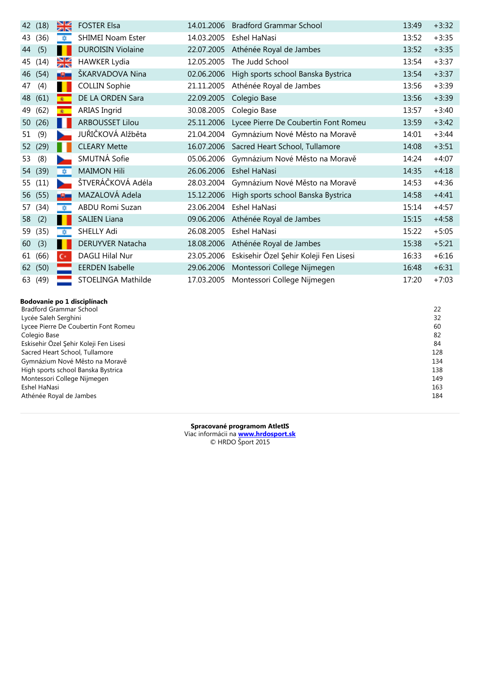| 42 | (18) | ≽≼           | <b>FOSTER Elsa</b>       | 14.01.2006 | <b>Bradford Grammar School</b>         | 13:49 | $+3:32$ |
|----|------|--------------|--------------------------|------------|----------------------------------------|-------|---------|
| 43 | (36) | $\mathbf{B}$ | <b>SHIMEI Noam Ester</b> | 14.03.2005 | Eshel HaNasi                           | 13:52 | $+3:35$ |
| 44 | (5)  |              | <b>DUROISIN Violaine</b> | 22.07.2005 | Athénée Royal de Jambes                | 13:52 | $+3:35$ |
| 45 | (14) | ≌ছ           | <b>HAWKER Lydia</b>      | 12.05.2005 | The Judd School                        | 13:54 | $+3:37$ |
| 46 | (54) | a Cha        | ŠKARVADOVA Nina          | 02.06.2006 | High sports school Banska Bystrica     | 13:54 | $+3:37$ |
| 47 | (4)  |              | <b>COLLIN Sophie</b>     | 21.11.2005 | Athénée Royal de Jambes                | 13:56 | $+3:39$ |
| 48 | (61) | $\bullet$    | DE LA ORDEN Sara         | 22.09.2005 | Colegio Base                           | 13:56 | $+3:39$ |
| 49 | (62) | 麦            | <b>ARIAS Ingrid</b>      | 30.08.2005 | Colegio Base                           | 13:57 | $+3:40$ |
| 50 | (26) |              | <b>ARBOUSSET Lilou</b>   | 25.11.2006 | Lycee Pierre De Coubertin Font Romeu   | 13:59 | $+3:42$ |
| 51 | (9)  |              | JUŘIČKOVÁ Alžběta        | 21.04.2004 | Gymnázium Nové Město na Moravě         | 14:01 | $+3:44$ |
| 52 | (29) |              | <b>CLEARY Mette</b>      | 16.07.2006 | Sacred Heart School, Tullamore         | 14:08 | $+3:51$ |
| 53 | (8)  |              | SMUTNÁ Sofie             | 05.06.2006 | Gymnázium Nové Město na Moravě         | 14:24 | $+4:07$ |
| 54 | (39) | 立            | <b>MAIMON Hili</b>       | 26.06.2006 | <b>Eshel HaNasi</b>                    | 14:35 | $+4:18$ |
| 55 | (11) |              | ŠTVERÁČKOVÁ Adéla        | 28.03.2004 | Gymnázium Nové Město na Moravě         | 14:53 | $+4:36$ |
| 56 | (55) | -91          | MAZALOVÁ Adela           | 15.12.2006 | High sports school Banska Bystrica     | 14:58 | $+4:41$ |
| 57 | (34) | 壺            | ABDU Romi Suzan          | 23.06.2004 | Eshel HaNasi                           | 15:14 | $+4:57$ |
| 58 | (2)  |              | <b>SALIEN Liana</b>      | 09.06.2006 | Athénée Royal de Jambes                | 15:15 | $+4:58$ |
| 59 | (35) | 立            | SHELLY Adi               | 26.08.2005 | Eshel HaNasi                           | 15:22 | $+5:05$ |
| 60 | (3)  |              | DERUYVER Natacha         | 18.08.2006 | Athénée Royal de Jambes                | 15:38 | $+5:21$ |
| 61 | (66) | $C^*$        | DAGLI Hilal Nur          | 23.05.2006 | Eskisehir Özel Şehir Koleji Fen Lisesi | 16:33 | $+6:16$ |
| 62 | (50) |              | <b>EERDEN Isabelle</b>   | 29.06.2006 | Montessori College Nijmegen            | 16:48 | $+6:31$ |
| 63 | (49) |              | STOELINGA Mathilde       | 17.03.2005 | Montessori College Nijmegen            | 17:20 | $+7:03$ |

| Bodovanie po 1 disciplínach |  |  |  |
|-----------------------------|--|--|--|
|-----------------------------|--|--|--|

| <b>Bradford Grammar School</b><br>22<br>32<br>Lycée Saleh Serghini<br>Lycee Pierre De Coubertin Font Romeu<br>60<br>82<br>Colegio Base<br>Eskisehir Özel Şehir Koleji Fen Lisesi<br>84<br>128<br>Sacred Heart School, Tullamore<br>Gymnázium Nové Město na Moravě<br>134<br>High sports school Banska Bystrica<br>138 |
|-----------------------------------------------------------------------------------------------------------------------------------------------------------------------------------------------------------------------------------------------------------------------------------------------------------------------|
|                                                                                                                                                                                                                                                                                                                       |
|                                                                                                                                                                                                                                                                                                                       |
|                                                                                                                                                                                                                                                                                                                       |
|                                                                                                                                                                                                                                                                                                                       |
|                                                                                                                                                                                                                                                                                                                       |
|                                                                                                                                                                                                                                                                                                                       |
|                                                                                                                                                                                                                                                                                                                       |
|                                                                                                                                                                                                                                                                                                                       |
| 149<br>Montessori College Nijmegen                                                                                                                                                                                                                                                                                    |
| 163<br>Eshel HaNasi                                                                                                                                                                                                                                                                                                   |
| 184<br>Athénée Royal de Jambes                                                                                                                                                                                                                                                                                        |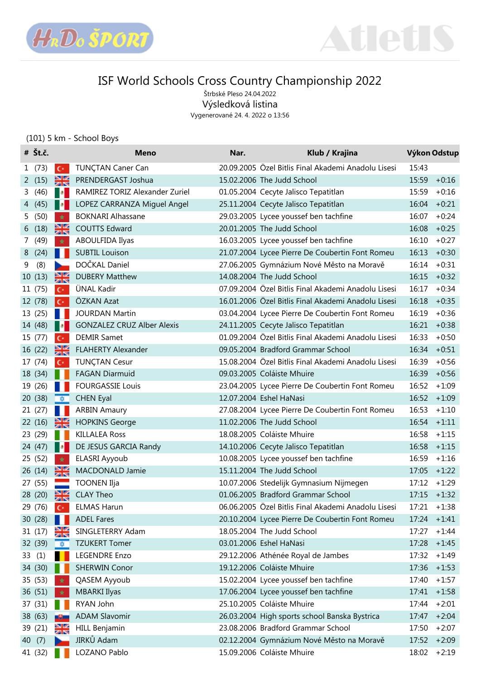



Štrbské Pleso 24.04.2022 Výsledková listina

Vygenerované 24. 4. 2022 o 13:56

### (101) 5 km - School Boys

|   | $# \check{\mathsf{S}}$ t.č. |               | <b>Meno</b>                       | Nar. | Klub / Krajina                                      |       | Výkon Odstup   |
|---|-----------------------------|---------------|-----------------------------------|------|-----------------------------------------------------|-------|----------------|
|   | 1(73)                       | $C^*$         | <b>TUNÇTAN Caner Can</b>          |      | 20.09.2005 Özel Bitlis Final Akademi Anadolu Lisesi | 15:43 |                |
|   | 2(15)                       | ₩             | PRENDERGAST Joshua                |      | 15.02.2006 The Judd School                          | 15:59 | $+0:16$        |
|   | 3(46)                       | п.            | RAMIREZ TORIZ Alexander Zuriel    |      | 01.05.2004 Cecyte Jalisco Tepatitlan                | 15:59 | $+0:16$        |
|   | 4 (45)                      | п.            | LOPEZ CARRANZA Miguel Angel       |      | 25.11.2004 Cecyte Jalisco Tepatitlan                | 16:04 | $+0:21$        |
|   | 5(50)                       | $\star$       | <b>BOKNARI Alhassane</b>          |      | 29.03.2005 Lycee youssef ben tachfine               | 16:07 | $+0:24$        |
|   | 6(18)                       | ₩             | <b>COUTTS Edward</b>              |      | 20.01.2005 The Judd School                          | 16:08 | $+0:25$        |
|   | 7 (49)                      | $\star$       | ABOULFIDA Ilyas                   |      | 16.03.2005 Lycee youssef ben tachfine               | 16:10 | $+0:27$        |
|   | 8 (24)                      | ш             | <b>SUBTIL Louison</b>             |      | 21.07.2004 Lycee Pierre De Coubertin Font Romeu     | 16:13 | $+0:30$        |
| 9 | (8)                         |               | DOČKAL Daniel                     |      | 27.06.2005 Gymnázium Nové Město na Moravě           | 16:14 | $+0:31$        |
|   | 10(13)                      | ₩             | <b>DUBERY Matthew</b>             |      | 14.08.2004 The Judd School                          | 16:15 | $+0:32$        |
|   | 11 (75)                     | $C^*$         | ÜNAL Kadir                        |      | 07.09.2004 Özel Bitlis Final Akademi Anadolu Lisesi | 16:17 | $+0:34$        |
|   | 12 (78)                     | $C^*$         | ÖZKAN Azat                        |      | 16.01.2006 Özel Bitlis Final Akademi Anadolu Lisesi |       | $16:18 + 0:35$ |
|   | 13 (25)                     |               | <b>JOURDAN Martin</b>             |      | 03.04.2004 Lycee Pierre De Coubertin Font Romeu     | 16:19 | $+0:36$        |
|   | 14 (48)                     | <b>P</b> 1    | <b>GONZALEZ CRUZ Alber Alexis</b> |      | 24.11.2005 Cecyte Jalisco Tepatitlan                | 16:21 | $+0:38$        |
|   | 15 (77)                     | $C^*$         | <b>DEMIR Samet</b>                |      | 01.09.2004 Özel Bitlis Final Akademi Anadolu Lisesi | 16:33 | $+0:50$        |
|   | 16 (22)                     | ₩             | <b>FLAHERTY Alexander</b>         |      | 09.05.2004 Bradford Grammar School                  | 16:34 | $+0:51$        |
|   | 17 (74)                     | $C^*$         | <b>TUNÇTAN Cesur</b>              |      | 15.08.2004 Özel Bitlis Final Akademi Anadolu Lisesi | 16:39 | $+0:56$        |
|   | 18 (34)                     |               | <b>FAGAN Diarmuid</b>             |      | 09.03.2005 Coláiste Mhuire                          | 16:39 | $+0:56$        |
|   | 19 (26)                     |               | <b>FOURGASSIE Louis</b>           |      | 23.04.2005 Lycee Pierre De Coubertin Font Romeu     | 16:52 | $+1:09$        |
|   | 20 (38)                     | <b>DES</b>    | <b>CHEN Eyal</b>                  |      | 12.07.2004 Eshel HaNasi                             |       | $16:52 + 1:09$ |
|   | 21 (27)                     |               | <b>ARBIN Amaury</b>               |      | 27.08.2004 Lycee Pierre De Coubertin Font Romeu     | 16:53 | $+1:10$        |
|   | 22 (16)                     | ₩             | <b>HOPKINS George</b>             |      | 11.02.2006 The Judd School                          | 16:54 | $+1:11$        |
|   | 23 (29)                     |               | <b>KILLALEA Ross</b>              |      | 18.08.2005 Coláiste Mhuire                          | 16:58 | $+1:15$        |
|   | 24 (47)                     | п.            | DE JESUS GARCIA Randy             |      | 14.10.2006 Cecyte Jalisco Tepatitlan                |       | $16:58 + 1:15$ |
|   | 25 (52)                     | $\star$       | ELASRI Ayyoub                     |      | 10.08.2005 Lycee youssef ben tachfine               | 16:59 | $+1:16$        |
|   | 26 (14)                     | ℁             | MACDONALD Jamie                   |      | 15.11.2004 The Judd School                          | 17:05 | $+1:22$        |
|   | 27 (55)                     |               | <b>TOONEN Ilja</b>                |      | 10.07.2006 Stedelijk Gymnasium Nijmegen             | 17:12 | $+1:29$        |
|   | 28 (20)                     | $\frac{N}{N}$ | <b>CLAY Theo</b>                  |      | 01.06.2005 Bradford Grammar School                  |       | $17:15 + 1:32$ |
|   | 29 (76)                     | $C^*$         | <b>ELMAS Harun</b>                |      | 06.06.2005 Özel Bitlis Final Akademi Anadolu Lisesi | 17:21 | $+1:38$        |
|   | 30(28)                      |               | <b>ADEL Fares</b>                 |      | 20.10.2004 Lycee Pierre De Coubertin Font Romeu     |       | $17:24 + 1:41$ |
|   | 31 (17)                     |               | SINGLETERRY Adam                  |      | 18.05.2004 The Judd School                          | 17:27 | $+1:44$        |
|   | 32 (39)                     | 森             | <b>TZUKERT Tomer</b>              |      | 03.01.2006 Eshel HaNasi                             | 17:28 | $+1:45$        |
|   | 33(1)                       |               | <b>LEGENDRE Enzo</b>              |      | 29.12.2006 Athénée Royal de Jambes                  | 17:32 | $+1:49$        |
|   | 34 (30)                     |               | <b>SHERWIN Conor</b>              |      | 19.12.2006 Coláiste Mhuire                          | 17:36 | $+1:53$        |
|   | 35 (53)                     |               | QASEM Ayyoub                      |      | 15.02.2004 Lycee youssef ben tachfine               | 17:40 | $+1:57$        |
|   | 36 (51)                     | *             | <b>MBARKI Ilyas</b>               |      | 17.06.2004 Lycee youssef ben tachfine               | 17:41 | $+1:58$        |
|   | 37 (31)                     |               | RYAN John                         |      | 25.10.2005 Coláiste Mhuire                          | 17:44 | $+2:01$        |
|   | 38 (63)                     |               | <b>ADAM Slavomir</b>              |      | 26.03.2004 High sports school Banska Bystrica       | 17:47 | $+2:04$        |
|   | 39 (21)                     | ≱≼            | <b>HILL Benjamin</b>              |      | 23.08.2006 Bradford Grammar School                  | 17:50 | $+2:07$        |
|   | 40 (7)                      |               | JIRKŮ Adam                        |      | 02.12.2004 Gymnázium Nové Město na Moravě           | 17:52 | $+2:09$        |
|   | 41 (32)                     |               | LOZANO Pablo                      |      | 15.09.2006 Coláiste Mhuire                          | 18:02 | $+2:19$        |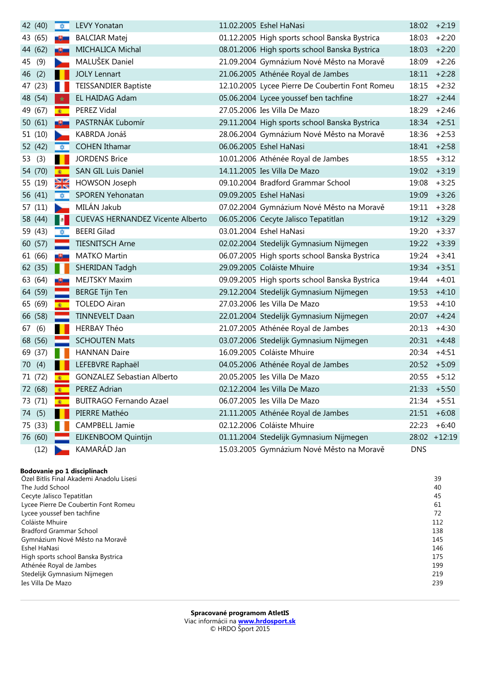| 42 (40)   | 一章。                  | <b>LEVY Yonatan</b>                     | 11.02.2005 Eshel HaNasi                         | 18:02      | $+2:19$      |
|-----------|----------------------|-----------------------------------------|-------------------------------------------------|------------|--------------|
| 43 (65)   | -9-                  | <b>BALCIAR Matej</b>                    | 01.12.2005 High sports school Banska Bystrica   | 18:03      | $+2:20$      |
| 44 (62)   |                      | MICHALICA Michal                        | 08.01.2006 High sports school Banska Bystrica   | 18:03      | $+2:20$      |
| (9)<br>45 | ь                    | MALUŠEK Daniel                          | 21.09.2004 Gymnázium Nové Město na Moravě       | 18:09      | $+2:26$      |
| (2)<br>46 |                      | <b>JOLY Lennart</b>                     | 21.06.2005 Athénée Royal de Jambes              | 18:11      | $+2:28$      |
| 47 (23)   | ш                    | <b>TEISSANDIER Baptiste</b>             | 12.10.2005 Lycee Pierre De Coubertin Font Romeu | 18:15      | $+2:32$      |
| 48 (54)   | *                    | EL HAIDAG Adam                          | 05.06.2004 Lycee youssef ben tachfine           | 18:27      | $+2:44$      |
| 49 (67)   | $\bullet$            | PEREZ Vidal                             | 27.05.2006 Ies Villa De Mazo                    | 18:29      | $+2:46$      |
| 50 (61)   | -9-                  | PASTRNÁK Ľubomír                        | 29.11.2004 High sports school Banska Bystrica   | 18:34      | $+2:51$      |
| 51(10)    |                      | KABRDA Jonáš                            | 28.06.2004 Gymnázium Nové Město na Moravě       | 18:36      | $+2:53$      |
| 52 (42)   | $\overline{\bullet}$ | <b>COHEN Ithamar</b>                    | 06.06.2005 Eshel HaNasi                         | 18:41      | $+2:58$      |
| 53 (3)    |                      | <b>JORDENS Brice</b>                    | 10.01.2006 Athénée Royal de Jambes              | 18:55      | $+3:12$      |
| 54 (70)   | $\bullet$            | <b>SAN GIL Luis Daniel</b>              | 14.11.2005 Ies Villa De Mazo                    | 19:02      | $+3:19$      |
| 55 (19)   | ⊠∝                   | HOWSON Joseph                           | 09.10.2004 Bradford Grammar School              | 19:08      | $+3:25$      |
| 56 (41)   | 章                    | SPOREN Yehonatan                        | 09.09.2005 Eshel HaNasi                         | 19:09      | $+3:26$      |
| 57 (11)   | D.                   | MILÁN Jakub                             | 07.02.2004 Gymnázium Nové Město na Moravě       | 19:11      | $+3:28$      |
| 58 (44)   | - 18                 | <b>CUEVAS HERNANDEZ Vicente Alberto</b> | 06.05.2006 Cecyte Jalisco Tepatitlan            | 19:12      | $+3:29$      |
| 59 (43)   | $\frac{1}{2}$        | <b>BEERI</b> Gilad                      | 03.01.2004 Eshel HaNasi                         | 19:20      | $+3:37$      |
| 60 (57)   |                      | <b>TIESNITSCH Arne</b>                  | 02.02.2004 Stedelijk Gymnasium Nijmegen         | 19:22      | $+3:39$      |
| 61 (66)   | -9-                  | MATKO Martin                            | 06.07.2005 High sports school Banska Bystrica   | 19:24      | $+3:41$      |
| 62 (35)   |                      | <b>SHERIDAN Tadgh</b>                   | 29.09.2005 Coláiste Mhuire                      | 19:34      | $+3:51$      |
| 63 (64)   | -9-                  | MEJTSKY Maxim                           | 09.09.2005 High sports school Banska Bystrica   | 19:44      | $+4:01$      |
| 64 (59)   |                      | <b>BERGE Tijn Ten</b>                   | 29.12.2004 Stedelijk Gymnasium Nijmegen         | 19:53      | $+4:10$      |
| 65 (69)   | $\bullet$            | <b>TOLEDO Airan</b>                     | 27.03.2006 Ies Villa De Mazo                    | 19:53      | $+4:10$      |
| 66 (58)   |                      | <b>TINNEVELT Daan</b>                   | 22.01.2004 Stedelijk Gymnasium Nijmegen         | 20:07      | $+4:24$      |
| (6)<br>67 |                      | <b>HERBAY Théo</b>                      | 21.07.2005 Athénée Royal de Jambes              | 20:13      | $+4:30$      |
| 68 (56)   |                      | <b>SCHOUTEN Mats</b>                    | 03.07.2006 Stedelijk Gymnasium Nijmegen         | 20:31      | $+4:48$      |
| 69 (37)   | ш                    | <b>HANNAN Daire</b>                     | 16.09.2005 Coláiste Mhuire                      | 20:34      | $+4:51$      |
| 70 (4)    |                      | LEFEBVRE Raphaël                        | 04.05.2006 Athénée Royal de Jambes              | 20:52      | $+5:09$      |
| 71 (72)   | $\bullet$            | <b>GONZALEZ Sebastian Alberto</b>       | 20.05.2005 Ies Villa De Mazo                    | 20:55      | $+5:12$      |
| 72 (68)   |                      | PEREZ Adrian                            | 02.12.2004 Ies Villa De Mazo                    | 21:33      | $+5:50$      |
| 73 (71)   | 案                    | <b>BUITRAGO Fernando Azael</b>          | 06.07.2005 Ies Villa De Mazo                    | 21:34      | $+5:51$      |
| 74 (5)    |                      | PIERRE Mathéo                           | 21.11.2005 Athénée Royal de Jambes              | 21:51      | $+6:08$      |
| 75 (33)   |                      | <b>CAMPBELL Jamie</b>                   | 02.12.2006 Coláiste Mhuire                      | 22:23      | $+6:40$      |
| 76 (60)   |                      | EIJKENBOOM Quintijn                     | 01.11.2004 Stedelijk Gymnasium Nijmegen         |            | 28:02 +12:19 |
| (12)      |                      | KAMARÁD Jan                             | 15.03.2005 Gymnázium Nové Město na Moravě       | <b>DNS</b> |              |

#### **Bodovanie po 1 disciplínach**

| Özel Bitlis Final Akademi Anadolu Lisesi | 39  |
|------------------------------------------|-----|
| The Judd School                          | 40  |
| Cecyte Jalisco Tepatitlan                | 45  |
| Lycee Pierre De Coubertin Font Romeu     | 61  |
| Lycee youssef ben tachfine               | 72  |
| Coláiste Mhuire                          | 112 |
| <b>Bradford Grammar School</b>           | 138 |
| Gymnázium Nové Město na Moravě           | 145 |
| Eshel HaNasi                             | 146 |
| High sports school Banska Bystrica       | 175 |
| Athénée Royal de Jambes                  | 199 |
| Stedelijk Gymnasium Nijmegen             | 219 |
| Ies Villa De Mazo                        | 239 |
|                                          |     |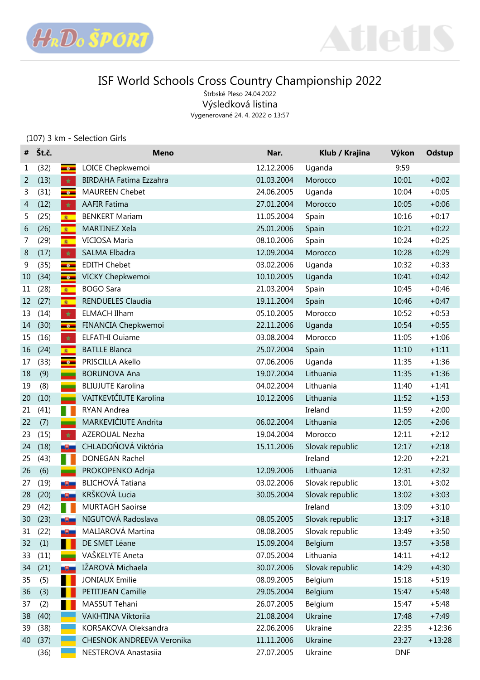



Štrbské Pleso 24.04.2022 Výsledková listina Vygenerované 24. 4. 2022 o 13:57

### (107) 3 km - Selection Girls

| #  | Št.č. |                 | <b>Meno</b>                   | Nar.       | Klub / Krajina  | Výkon      | Odstup   |
|----|-------|-----------------|-------------------------------|------------|-----------------|------------|----------|
| 1  | (32)  | $-8-$           | LOICE Chepkwemoi              | 12.12.2006 | Uganda          | 9:59       |          |
| 2  | (13)  | $\star$         | <b>BIRDAHA Fatima Ezzahra</b> | 01.03.2004 | Morocco         | 10:01      | $+0:02$  |
| 3  | (31)  | $-6 -$          | <b>MAUREEN Chebet</b>         | 24.06.2005 | Uganda          | 10:04      | $+0:05$  |
| 4  | (12)  | $\star$         | <b>AAFIR Fatima</b>           | 27.01.2004 | Morocco         | 10:05      | $+0:06$  |
| 5  | (25)  | $\bullet$       | <b>BENKERT Mariam</b>         | 11.05.2004 | Spain           | 10:16      | $+0:17$  |
| 6  | (26)  | $\bullet$       | MARTINEZ Xela                 | 25.01.2006 | Spain           | 10:21      | $+0:22$  |
| 7  | (29)  | $\bullet$       | VICIOSA Maria                 | 08.10.2006 | Spain           | 10:24      | $+0:25$  |
| 8  | (17)  | $\star$         | SALMA Elbadra                 | 12.09.2004 | Morocco         | 10:28      | $+0:29$  |
| 9  | (35)  | $-8$            | <b>EDITH Chebet</b>           | 03.02.2006 | Uganda          | 10:32      | $+0:33$  |
| 10 | (34)  | $-6$            | VICKY Chepkwemoi              | 10.10.2005 | Uganda          | 10:41      | $+0:42$  |
| 11 | (28)  | $\bullet$       | <b>BOGO Sara</b>              | 21.03.2004 | Spain           | 10:45      | $+0:46$  |
| 12 | (27)  | $\bullet$       | RENDUELES Claudia             | 19.11.2004 | Spain           | 10:46      | $+0:47$  |
| 13 | (14)  | $\star$         | <b>ELMACH Ilham</b>           | 05.10.2005 | Morocco         | 10:52      | $+0:53$  |
| 14 | (30)  | $-$ e $-$       | FINANCIA Chepkwemoi           | 22.11.2006 | Uganda          | 10:54      | $+0:55$  |
| 15 | (16)  | $\star$         | <b>ELFATHI Ouiame</b>         | 03.08.2004 | Morocco         | 11:05      | $+1:06$  |
| 16 | (24)  | $\bullet$       | <b>BATLLE Blanca</b>          | 25.07.2004 | Spain           | 11:10      | $+1:11$  |
| 17 | (33)  | $-e$            | PRISCILLA Akello              | 07.06.2006 | Uganda          | 11:35      | $+1:36$  |
| 18 | (9)   | ш.              | <b>BORUNOVA Ana</b>           | 19.07.2004 | Lithuania       | 11:35      | $+1:36$  |
| 19 | (8)   | <b>College</b>  | <b>BLIUJUTE Karolina</b>      | 04.02.2004 | Lithuania       | 11:40      | $+1:41$  |
| 20 | (10)  | <b>College</b>  | VAITKEVIČIUTE Karolina        | 10.12.2006 | Lithuania       | 11:52      | $+1:53$  |
| 21 | (41)  | п               | RYAN Andrea                   |            | Ireland         | 11:59      | $+2:00$  |
| 22 | (7)   | <b>Contract</b> | MARKEVIČIUTE Andrita          | 06.02.2004 | Lithuania       | 12:05      | $+2:06$  |
| 23 | (15)  | $\star$         | AZEROUAL Nezha                | 19.04.2004 | Morocco         | 12:11      | $+2:12$  |
| 24 | (18)  | -9-             | CHLADOŇOVÁ Viktória           | 15.11.2006 | Slovak republic | 12:17      | $+2:18$  |
| 25 | (43)  | Ш               | DONEGAN Rachel                |            | Ireland         | 12:20      | $+2:21$  |
| 26 | (6)   | <b>Contract</b> | PROKOPENKO Adrija             | 12.09.2006 | Lithuania       | 12:31      | $+2:32$  |
| 27 | (19)  | -9-             | <b>BLICHOVÁ Tatiana</b>       | 03.02.2006 | Slovak republic | 13:01      | $+3:02$  |
| 28 | (20)  | $\theta$        | KRŠKOVÁ Lucia                 | 30.05.2004 | Slovak republic | 13:02      | $+3:03$  |
| 29 | (42)  | H               | <b>MURTAGH Saoirse</b>        |            | Ireland         | 13:09      | $+3:10$  |
| 30 | (23)  | -9-             | NIGUTOVÁ Radoslava            | 08.05.2005 | Slovak republic | 13:17      | $+3:18$  |
| 31 | (22)  | -9-             | MALIAROVÁ Martina             | 08.08.2005 | Slovak republic | 13:49      | $+3:50$  |
| 32 | (1)   |                 | DE SMET Léane                 | 15.09.2004 | Belgium         | 13:57      | $+3:58$  |
| 33 | (11)  | <b>College</b>  | VAŠKELYTE Aneta               | 07.05.2004 | Lithuania       | 14:11      | $+4:12$  |
| 34 | (21)  | -9-             | IŽAROVÁ Michaela              | 30.07.2006 | Slovak republic | 14:29      | $+4:30$  |
| 35 | (5)   |                 | <b>JONIAUX Emilie</b>         | 08.09.2005 | Belgium         | 15:18      | $+5:19$  |
| 36 | (3)   |                 | PETITJEAN Camille             | 29.05.2004 | Belgium         | 15:47      | $+5:48$  |
| 37 | (2)   |                 | MASSUT Tehani                 | 26.07.2005 | Belgium         | 15:47      | $+5:48$  |
| 38 | (40)  |                 | VAKHTINA Viktoriia            | 21.08.2004 | Ukraine         | 17:48      | $+7:49$  |
| 39 | (38)  |                 | KORSAKOVA Oleksandra          | 22.06.2006 | Ukraine         | 22:35      | $+12:36$ |
| 40 | (37)  |                 | CHESNOK ANDREEVA Veronika     | 11.11.2006 | Ukraine         | 23:27      | $+13:28$ |
|    | (36)  |                 | NESTEROVA Anastasiia          | 27.07.2005 | Ukraine         | <b>DNF</b> |          |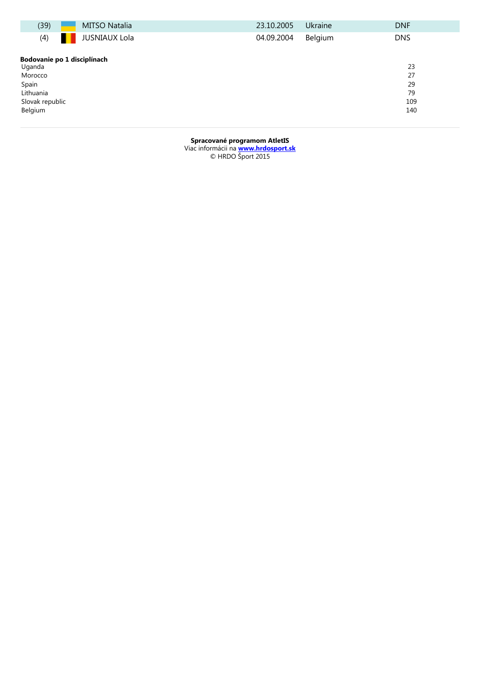| (39)                        | <b>MITSO Natalia</b> | 23.10.2005 | Ukraine | <b>DNF</b> |
|-----------------------------|----------------------|------------|---------|------------|
| (4)                         | <b>JUSNIAUX Lola</b> | 04.09.2004 | Belgium | <b>DNS</b> |
| Bodovanie po 1 disciplínach |                      |            |         |            |
| Uganda                      |                      |            |         | 23         |
| Morocco                     |                      |            |         | 27         |
| Spain                       |                      |            |         | 29         |
| Lithuania                   |                      |            |         | 79         |
| Slovak republic             |                      |            |         | 109        |
| Belgium                     |                      |            |         | 140        |
|                             |                      |            |         |            |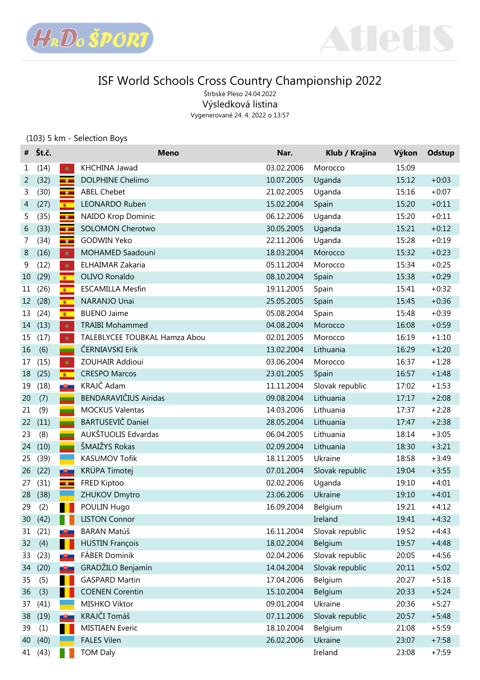



Štrbské Pleso 24.04.2022 Výsledková listina Vygenerované 24. 4. 2022 o 13:57

### (103) 5 km - Selection Boys

| #  | Št.č.   |               | <b>Meno</b>                   | Nar.       | Klub / Krajina  | Výkon | <b>Odstup</b> |
|----|---------|---------------|-------------------------------|------------|-----------------|-------|---------------|
| 1  | (14)    | $\star$       | KHCHINA Jawad                 | 03.02.2006 | Morocco         | 15:09 |               |
| 2  | (32)    | $-8-$         | DOLPHINE Chelimo              | 10.07.2005 | Uganda          | 15:12 | $+0:03$       |
| 3  | (30)    | $-6 -$        | <b>ABEL Chebet</b>            | 21.02.2005 | Uganda          | 15:16 | $+0:07$       |
| 4  | (27)    | $\bullet$     | <b>LEONARDO Ruben</b>         | 15.02.2004 | Spain           | 15:20 | $+0:11$       |
| 5  | (35)    | $\bullet$     | NAIDO Krop Dominic            | 06.12.2006 | Uganda          | 15:20 | $+0:11$       |
| 6  | (33)    | $\bullet$     | <b>SOLOMON Cherotwo</b>       | 30.05.2005 | Uganda          | 15:21 | $+0:12$       |
| 7  | (34)    | $-6 -$        | <b>GODWIN Yeko</b>            | 22.11.2006 | Uganda          | 15:28 | $+0:19$       |
| 8  | (16)    | $\star$       | MOHAMED Saadouni              | 18.03.2004 | Morocco         | 15:32 | $+0:23$       |
| 9  | (12)    | $\star$       | ELHAIMAR Zakaria              | 05.11.2004 | Morocco         | 15:34 | $+0:25$       |
| 10 | (29)    | $\bullet$     | OLIVO Ronaldo                 | 08.10.2004 | Spain           | 15:38 | $+0:29$       |
| 11 | (26)    | $\bullet$     | <b>ESCAMILLA Mesfin</b>       | 19.11.2005 | Spain           | 15:41 | $+0:32$       |
| 12 | (28)    | $\bullet$     | NARANJO Unai                  | 25.05.2005 | Spain           | 15:45 | $+0:36$       |
| 13 | (24)    | $\bullet$     | <b>BUENO Jaime</b>            | 05.08.2004 | Spain           | 15:48 | $+0:39$       |
| 14 | (13)    | $\star$       | <b>TRAIBI Mohammed</b>        | 04.08.2004 | Morocco         | 16:08 | $+0:59$       |
| 15 | (17)    | $\star$       | TALEBLYCEE TOUBKAL Hamza Abou | 02.01.2005 | Morocco         | 16:19 | $+1:10$       |
| 16 | (6)     | $\mathcal{L}$ | ČERNIAVSKI Erik               | 13.02.2004 | Lithuania       | 16:29 | $+1:20$       |
| 17 | (15)    | $\star$       | ZOUHAIR Addioui               | 03.06.2004 | Morocco         | 16:37 | $+1:28$       |
| 18 | (25)    | $\bullet$     | <b>CRESPO Marcos</b>          | 23.01.2005 | Spain           | 16:57 | $+1:48$       |
| 19 | (18)    | -9-           | KRAJČ Adam                    | 11.11.2004 | Slovak republic | 17:02 | $+1:53$       |
| 20 | (7)     | a a           | BENDARAVIČIUS Airidas         | 09.08.2004 | Lithuania       | 17:17 | $+2:08$       |
| 21 | (9)     | a a           | <b>MOCKUS Valentas</b>        | 14.03.2006 | Lithuania       | 17:37 | $+2:28$       |
| 22 | (11)    | a a           | <b>BARTUSEVIČ Daniel</b>      | 28.05.2004 | Lithuania       | 17:47 | $+2:38$       |
| 23 | (8)     | a a           | AUKŠTUOLIS Edvardas           | 06.04.2005 | Lithuania       | 18:14 | $+3:05$       |
| 24 | (10)    | a a           | ŠMAIŽYS Rokas                 | 02.09.2004 | Lithuania       | 18:30 | $+3:21$       |
| 25 | (39)    |               | KASUMOV Tofik                 | 18.11.2005 | Ukraine         | 18:58 | $+3:49$       |
| 26 | (22)    | -9-           | KRÚPA Timotej                 | 07.01.2004 | Slovak republic | 19:04 | $+3:55$       |
| 27 | (31)    | $-6 -$        | FRED Kiptoo                   | 02.02.2006 | Uganda          | 19:10 | $+4:01$       |
| 28 | (38)    |               | ZHUKOV Dmytro                 | 23.06.2006 | Ukraine         | 19:10 | $+4:01$       |
| 29 | (2)     | ٠             | POULIN Hugo                   | 16.09.2004 | Belgium         | 19:21 | $+4:12$       |
| 30 | (42)    |               | <b>LISTON Connor</b>          |            | Ireland         | 19:41 | $+4:32$       |
| 31 | (21)    | -9-           | <b>BARAN Matúš</b>            | 16.11.2004 | Slovak republic | 19:52 | $+4:43$       |
| 32 | (4)     |               | <b>HUSTIN François</b>        | 18.02.2004 | Belgium         | 19:57 | $+4:48$       |
| 33 | (23)    | -9-           | FÁBER Dominik                 | 02.04.2006 | Slovak republic | 20:05 | $+4:56$       |
| 34 | (20)    | -9-           | GRADŽILO Benjamín             | 14.04.2004 | Slovak republic | 20:11 | $+5:02$       |
| 35 | (5)     |               | <b>GASPARD Martin</b>         | 17.04.2006 | Belgium         | 20:27 | $+5:18$       |
| 36 | (3)     |               | <b>COENEN Corentin</b>        | 15.10.2004 | Belgium         | 20:33 | $+5:24$       |
| 37 | (41)    |               | MISHKO Viktor                 | 09.01.2004 | Ukraine         | 20:36 | $+5:27$       |
| 38 | (19)    | -9-           | KRAJČI Tomáš                  | 07.11.2006 | Slovak republic | 20:57 | $+5:48$       |
| 39 | (1)     |               | <b>MISTIAEN Everic</b>        | 18.10.2004 | Belgium         | 21:08 | $+5:59$       |
| 40 | (40)    |               | <b>FALES Vilen</b>            | 26.02.2006 | Ukraine         | 23:07 | $+7:58$       |
|    | 41 (43) |               | <b>TOM Daly</b>               |            | Ireland         | 23:08 | $+7:59$       |